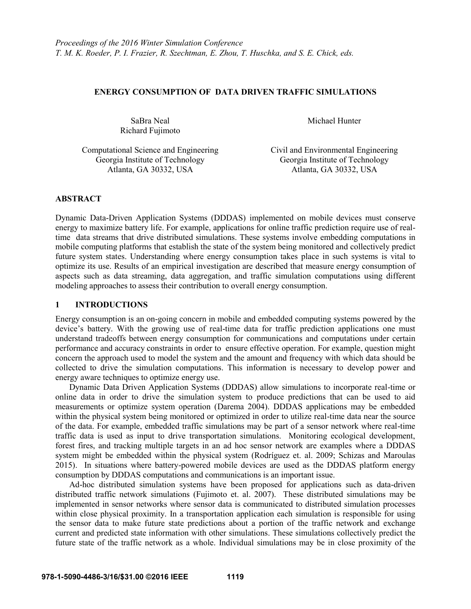## **ENERGY CONSUMPTION OF DATA DRIVEN TRAFFIC SIMULATIONS**

SaBra Neal Michael Hunter Richard Fujimoto

Computational Science and Engineering Civil and Environmental Engineering Georgia Institute of Technology Georgia Institute of Technology Atlanta, GA 30332, USA Atlanta, GA 30332, USA

# **ABSTRACT**

Dynamic Data-Driven Application Systems (DDDAS) implemented on mobile devices must conserve energy to maximize battery life. For example, applications for online traffic prediction require use of realtime data streams that drive distributed simulations. These systems involve embedding computations in mobile computing platforms that establish the state of the system being monitored and collectively predict future system states. Understanding where energy consumption takes place in such systems is vital to optimize its use. Results of an empirical investigation are described that measure energy consumption of aspects such as data streaming, data aggregation, and traffic simulation computations using different modeling approaches to assess their contribution to overall energy consumption.

# **1 INTRODUCTIONS**

Energy consumption is an on-going concern in mobile and embedded computing systems powered by the device's battery. With the growing use of real-time data for traffic prediction applications one must understand tradeoffs between energy consumption for communications and computations under certain performance and accuracy constraints in order to ensure effective operation. For example, question might concern the approach used to model the system and the amount and frequency with which data should be collected to drive the simulation computations. This information is necessary to develop power and energy aware techniques to optimize energy use.

Dynamic Data Driven Application Systems (DDDAS) allow simulations to incorporate real-time or online data in order to drive the simulation system to produce predictions that can be used to aid measurements or optimize system operation (Darema 2004). DDDAS applications may be embedded within the physical system being monitored or optimized in order to utilize real-time data near the source of the data. For example, embedded traffic simulations may be part of a sensor network where real-time traffic data is used as input to drive transportation simulations. Monitoring ecological development, forest fires, and tracking multiple targets in an ad hoc sensor network are examples where a DDDAS system might be embedded within the physical system (Rodríguez et. al. 2009; Schizas and Maroulas 2015). In situations where battery-powered mobile devices are used as the DDDAS platform energy consumption by DDDAS computations and communications is an important issue.

Ad-hoc distributed simulation systems have been proposed for applications such as data-driven distributed traffic network simulations (Fujimoto et. al. 2007). These distributed simulations may be implemented in sensor networks where sensor data is communicated to distributed simulation processes within close physical proximity. In a transportation application each simulation is responsible for using the sensor data to make future state predictions about a portion of the traffic network and exchange current and predicted state information with other simulations. These simulations collectively predict the future state of the traffic network as a whole. Individual simulations may be in close proximity of the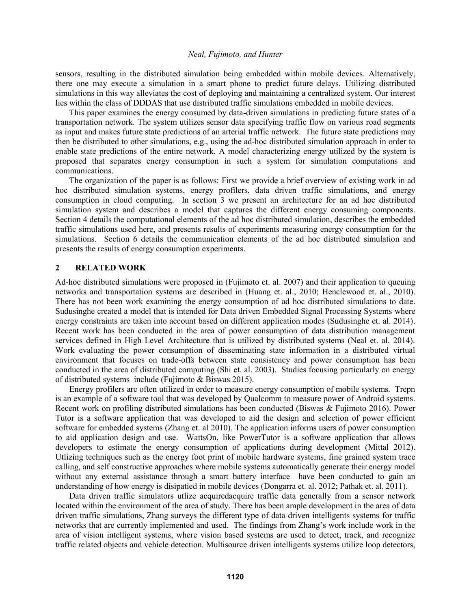sensors, resulting in the distributed simulation being embedded within mobile devices. Alternatively, there one may execute a simulation in a smart phone to predict future delays. Utilizing distributed simulations in this way alleviates the cost of deploying and maintaining a centralized system. Our interest lies within the class of DDDAS that use distributed traffic simulations embedded in mobile devices.

This paper examines the energy consumed by data-driven simulations in predicting future states of a transportation network. The system utilizes sensor data specifying traffic flow on various road segments as input and makes future state predictions of an arterial traffic network. The future state predictions may then be distributed to other simulations, e.g., using the ad-hoc distributed simulation approach in order to enable state predictions of the entire network. A model characterizing energy utilized by the system is proposed that separates energy consumption in such a system for simulation computations and communications.

The organization of the paper is as follows: First we provide a brief overview of existing work in ad hoc distributed simulation systems, energy profilers, data driven traffic simulations, and energy consumption in cloud computing. In section 3 we present an architecture for an ad hoc distributed simulation system and describes a model that captures the different energy consuming components. Section 4 details the computational elements of the ad hoc distributed simulation, describes the embedded traffic simulations used here, and presents results of experiments measuring energy consumption for the simulations. Section 6 details the communication elements of the ad hoc distributed simulation and presents the results of energy consumption experiments.

## **2 RELATED WORK**

Ad-hoc distributed simulations were proposed in (Fujimoto et. al. 2007) and their application to queuing networks and transportation systems are described in (Huang et. al., 2010; Henclewood et. al., 2010). There has not been work examining the energy consumption of ad hoc distributed simulations to date. Sudusinghe created a model that is intended for Data driven Embedded Signal Processing Systems where energy constraints are taken into account based on different application modes (Sudusinghe et. al. 2014). Recent work has been conducted in the area of power consumption of data distribution management services defined in High Level Architecture that is utilized by distributed systems (Neal et. al. 2014). Work evaluating the power consumption of disseminating state information in a distributed virtual environment that focuses on trade-offs between state consistency and power consumption has been conducted in the area of distributed computing (Shi et. al. 2003). Studies focusing particularly on energy of distributed systems include (Fujimoto & Biswas 2015).

Energy profilers are often utilized in order to measure energy consumption of mobile systems. Trepn is an example of a software tool that was developed by Qualcomm to measure power of Android systems. Recent work on profiling distributed simulations has been conducted (Biswas & Fujimoto 2016). Power Tutor is a software application that was developed to aid the design and selection of power efficient software for embedded systems (Zhang et. al 2010). The application informs users of power consumption to aid application design and use. WattsOn, like PowerTutor is a software application that allows developers to estimate the energy consumption of applications during development (Mittal 2012). Utlizing techniques such as the energy foot print of mobile hardware systems, fine grained system trace calling, and self constructive approaches where mobile systems automatically generate their energy model without any external assistance through a smart battery interface have been conducted to gain an understanding of how energy is disipatied in mobile devices (Dongarra et. al. 2012; Pathak et. al. 2011).

Data driven traffic simulators utlize acquiredacquire traffic data generally from a sensor network located within the environment of the area of study. There has been ample development in the area of data driven traffic simulations, Zhang surveys the different type of data driven intelligents systems for traffic networks that are currently implemented and used. The findings from Zhang's work include work in the area of vision intelligent systems, where vision based systems are used to detect, track, and recognize traffic related objects and vehicle detection. Multisource driven intelligents systems utilize loop detectors,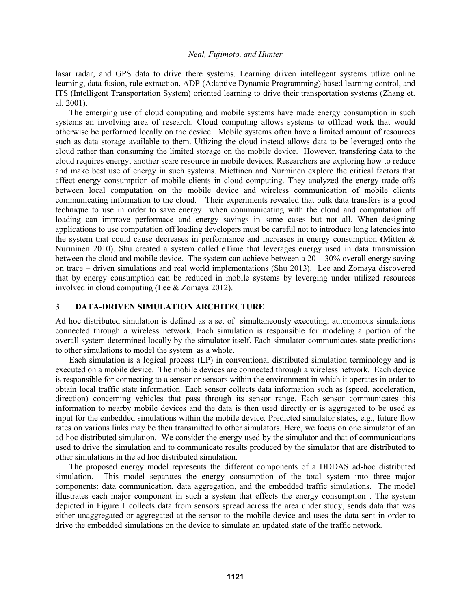lasar radar, and GPS data to drive there systems. Learning driven intellegent systems utlize online learning, data fusion, rule extraction, ADP (Adaptive Dynamic Programming) based learning control, and ITS (Intelligent Transportation System) oriented learning to drive their transportation systems (Zhang et. al. 2001).

The emerging use of cloud computing and mobile systems have made energy consumption in such systems an involving area of research. Cloud computing allows systems to offload work that would otherwise be performed locally on the device. Mobile systems often have a limited amount of resources such as data storage available to them. Utlizing the cloud instead allows data to be leveraged onto the cloud rather than consuming the limited storage on the mobile device. However, transfering data to the cloud requires energy, another scare resource in mobile devices. Researchers are exploring how to reduce and make best use of energy in such systems. Miettinen and Nurminen explore the critical factors that affect energy consumption of mobile clients in cloud computing. They analyzed the energy trade offs between local computation on the mobile device and wireless communication of mobile clients communicating information to the cloud. Their experiments revealed that bulk data transfers is a good technique to use in order to save energy when communicating with the cloud and computation off loading can improve performace and energy savings in some cases but not all. When designing applications to use computation off loading developers must be careful not to introduce long latencies into the system that could cause decreases in performance and increases in energy consumption **(**Mitten & Nurminen 2010). Shu created a system called eTime that leverages energy used in data transmission between the cloud and mobile device. The system can achieve between a 20 – 30% overall energy saving on trace – driven simulations and real world implementations (Shu 2013). Lee and Zomaya discovered that by energy consumption can be reduced in mobile systems by leverging under utilized resources involved in cloud computing (Lee & Zomaya 2012).

# **3 DATA-DRIVEN SIMULATION ARCHITECTURE**

Ad hoc distributed simulation is defined as a set of simultaneously executing, autonomous simulations connected through a wireless network. Each simulation is responsible for modeling a portion of the overall system determined locally by the simulator itself. Each simulator communicates state predictions to other simulations to model the system as a whole.

Each simulation is a logical process (LP) in conventional distributed simulation terminology and is executed on a mobile device. The mobile devices are connected through a wireless network. Each device is responsible for connecting to a sensor or sensors within the environment in which it operates in order to obtain local traffic state information. Each sensor collects data information such as (speed, acceleration, direction) concerning vehicles that pass through its sensor range. Each sensor communicates this information to nearby mobile devices and the data is then used directly or is aggregated to be used as input for the embedded simulations within the mobile device. Predicted simulator states, e.g., future flow rates on various links may be then transmitted to other simulators. Here, we focus on one simulator of an ad hoc distributed simulation. We consider the energy used by the simulator and that of communications used to drive the simulation and to communicate results produced by the simulator that are distributed to other simulations in the ad hoc distributed simulation.

The proposed energy model represents the different components of a DDDAS ad-hoc distributed simulation. This model separates the energy consumption of the total system into three major components: data communication, data aggregation, and the embedded traffic simulations. The model illustrates each major component in such a system that effects the energy consumption . The system depicted in Figure 1 collects data from sensors spread across the area under study, sends data that was either unaggregated or aggregated at the sensor to the mobile device and uses the data sent in order to drive the embedded simulations on the device to simulate an updated state of the traffic network.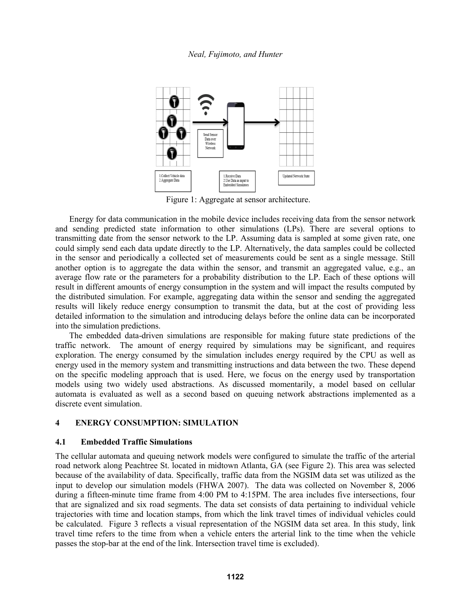

Figure 1: Aggregate at sensor architecture.

Energy for data communication in the mobile device includes receiving data from the sensor network and sending predicted state information to other simulations (LPs). There are several options to transmitting date from the sensor network to the LP. Assuming data is sampled at some given rate, one could simply send each data update directly to the LP. Alternatively, the data samples could be collected in the sensor and periodically a collected set of measurements could be sent as a single message. Still another option is to aggregate the data within the sensor, and transmit an aggregated value, e.g., an average flow rate or the parameters for a probability distribution to the LP. Each of these options will result in different amounts of energy consumption in the system and will impact the results computed by the distributed simulation. For example, aggregating data within the sensor and sending the aggregated results will likely reduce energy consumption to transmit the data, but at the cost of providing less detailed information to the simulation and introducing delays before the online data can be incorporated into the simulation predictions.

The embedded data-driven simulations are responsible for making future state predictions of the traffic network. The amount of energy required by simulations may be significant, and requires exploration. The energy consumed by the simulation includes energy required by the CPU as well as energy used in the memory system and transmitting instructions and data between the two. These depend on the specific modeling approach that is used. Here, we focus on the energy used by transportation models using two widely used abstractions. As discussed momentarily, a model based on cellular automata is evaluated as well as a second based on queuing network abstractions implemented as a discrete event simulation.

# **4 ENERGY CONSUMPTION: SIMULATION**

## **4.1 Embedded Traffic Simulations**

The cellular automata and queuing network models were configured to simulate the traffic of the arterial road network along Peachtree St. located in midtown Atlanta, GA (see Figure 2). This area was selected because of the availability of data. Specifically, traffic data from the NGSIM data set was utilized as the input to develop our simulation models (FHWA 2007). The data was collected on November 8, 2006 during a fifteen-minute time frame from 4:00 PM to 4:15PM. The area includes five intersections, four that are signalized and six road segments. The data set consists of data pertaining to individual vehicle trajectories with time and location stamps, from which the link travel times of individual vehicles could be calculated. Figure 3 reflects a visual representation of the NGSIM data set area. In this study, link travel time refers to the time from when a vehicle enters the arterial link to the time when the vehicle passes the stop-bar at the end of the link. Intersection travel time is excluded).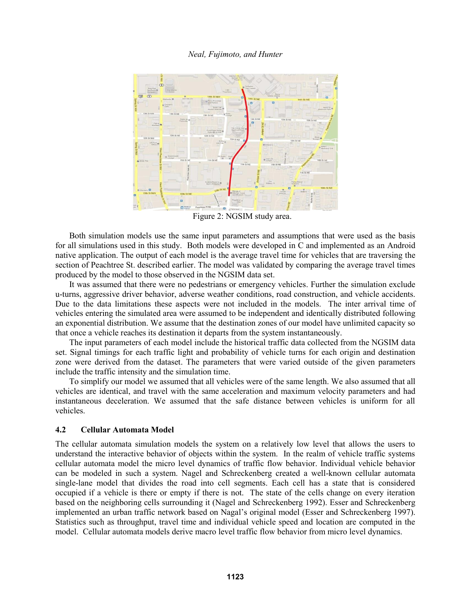

Figure 2: NGSIM study area.

Both simulation models use the same input parameters and assumptions that were used as the basis for all simulations used in this study. Both models were developed in C and implemented as an Android native application. The output of each model is the average travel time for vehicles that are traversing the section of Peachtree St. described earlier. The model was validated by comparing the average travel times produced by the model to those observed in the NGSIM data set.

It was assumed that there were no pedestrians or emergency vehicles. Further the simulation exclude u-turns, aggressive driver behavior, adverse weather conditions, road construction, and vehicle accidents. Due to the data limitations these aspects were not included in the models. The inter arrival time of vehicles entering the simulated area were assumed to be independent and identically distributed following an exponential distribution. We assume that the destination zones of our model have unlimited capacity so that once a vehicle reaches its destination it departs from the system instantaneously.

The input parameters of each model include the historical traffic data collected from the NGSIM data set. Signal timings for each traffic light and probability of vehicle turns for each origin and destination zone were derived from the dataset. The parameters that were varied outside of the given parameters include the traffic intensity and the simulation time.

To simplify our model we assumed that all vehicles were of the same length. We also assumed that all vehicles are identical, and travel with the same acceleration and maximum velocity parameters and had instantaneous deceleration. We assumed that the safe distance between vehicles is uniform for all vehicles.

## **4.2 Cellular Automata Model**

The cellular automata simulation models the system on a relatively low level that allows the users to understand the interactive behavior of objects within the system. In the realm of vehicle traffic systems cellular automata model the micro level dynamics of traffic flow behavior. Individual vehicle behavior can be modeled in such a system. Nagel and Schreckenberg created a well-known cellular automata single-lane model that divides the road into cell segments. Each cell has a state that is considered occupied if a vehicle is there or empty if there is not. The state of the cells change on every iteration based on the neighboring cells surrounding it (Nagel and Schreckenberg 1992). Esser and Schreckenberg implemented an urban traffic network based on Nagal's original model (Esser and Schreckenberg 1997). Statistics such as throughput, travel time and individual vehicle speed and location are computed in the model. Cellular automata models derive macro level traffic flow behavior from micro level dynamics.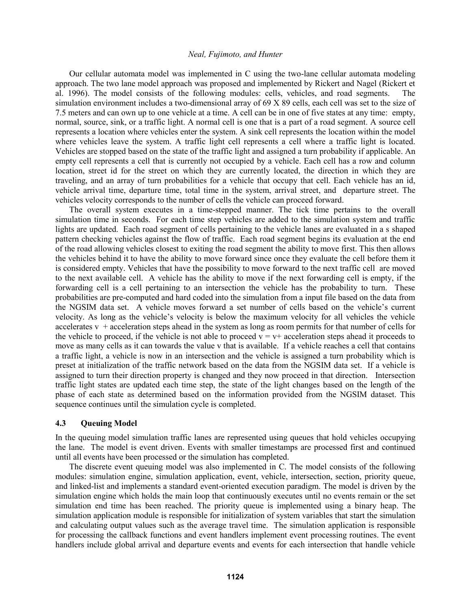Our cellular automata model was implemented in C using the two-lane cellular automata modeling approach. The two lane model approach was proposed and implemented by Rickert and Nagel (Rickert et al. 1996). The model consists of the following modules: cells, vehicles, and road segments. The simulation environment includes a two-dimensional array of 69 X 89 cells, each cell was set to the size of 7.5 meters and can own up to one vehicle at a time. A cell can be in one of five states at any time: empty, normal, source, sink, or a traffic light. A normal cell is one that is a part of a road segment. A source cell represents a location where vehicles enter the system. A sink cell represents the location within the model where vehicles leave the system. A traffic light cell represents a cell where a traffic light is located. Vehicles are stopped based on the state of the traffic light and assigned a turn probability if applicable. An empty cell represents a cell that is currently not occupied by a vehicle. Each cell has a row and column location, street id for the street on which they are currently located, the direction in which they are traveling, and an array of turn probabilities for a vehicle that occupy that cell. Each vehicle has an id, vehicle arrival time, departure time, total time in the system, arrival street, and departure street. The vehicles velocity corresponds to the number of cells the vehicle can proceed forward.

The overall system executes in a time-stepped manner. The tick time pertains to the overall simulation time in seconds. For each time step vehicles are added to the simulation system and traffic lights are updated. Each road segment of cells pertaining to the vehicle lanes are evaluated in a s shaped pattern checking vehicles against the flow of traffic. Each road segment begins its evaluation at the end of the road allowing vehicles closest to exiting the road segment the ability to move first. This then allows the vehicles behind it to have the ability to move forward since once they evaluate the cell before them it is considered empty. Vehicles that have the possibility to move forward to the next traffic cell are moved to the next available cell. A vehicle has the ability to move if the next forwarding cell is empty, if the forwarding cell is a cell pertaining to an intersection the vehicle has the probability to turn. These probabilities are pre-computed and hard coded into the simulation from a input file based on the data from the NGSIM data set. A vehicle moves forward a set number of cells based on the vehicle's current velocity. As long as the vehicle's velocity is below the maximum velocity for all vehicles the vehicle accelerates v + acceleration steps ahead in the system as long as room permits for that number of cells for the vehicle to proceed, if the vehicle is not able to proceed  $v = v<sup>+</sup>$  acceleration steps ahead it proceeds to move as many cells as it can towards the value v that is available. If a vehicle reaches a cell that contains a traffic light, a vehicle is now in an intersection and the vehicle is assigned a turn probability which is preset at initialization of the traffic network based on the data from the NGSIM data set. If a vehicle is assigned to turn their direction property is changed and they now proceed in that direction. Intersection traffic light states are updated each time step, the state of the light changes based on the length of the phase of each state as determined based on the information provided from the NGSIM dataset. This sequence continues until the simulation cycle is completed.

## **4.3 Queuing Model**

In the queuing model simulation traffic lanes are represented using queues that hold vehicles occupying the lane. The model is event driven. Events with smaller timestamps are processed first and continued until all events have been processed or the simulation has completed.

The discrete event queuing model was also implemented in C. The model consists of the following modules: simulation engine, simulation application, event, vehicle, intersection, section, priority queue, and linked-list and implements a standard event-oriented execution paradigm. The model is driven by the simulation engine which holds the main loop that continuously executes until no events remain or the set simulation end time has been reached. The priority queue is implemented using a binary heap. The simulation application module is responsible for initialization of system variables that start the simulation and calculating output values such as the average travel time. The simulation application is responsible for processing the callback functions and event handlers implement event processing routines. The event handlers include global arrival and departure events and events for each intersection that handle vehicle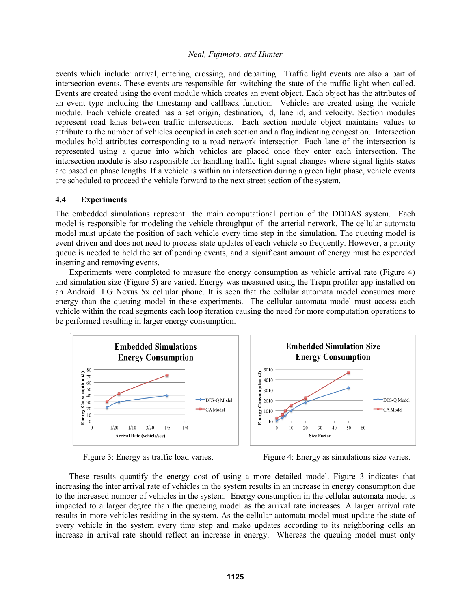events which include: arrival, entering, crossing, and departing. Traffic light events are also a part of intersection events. These events are responsible for switching the state of the traffic light when called. Events are created using the event module which creates an event object. Each object has the attributes of an event type including the timestamp and callback function. Vehicles are created using the vehicle module. Each vehicle created has a set origin, destination, id, lane id, and velocity. Section modules represent road lanes between traffic intersections. Each section module object maintains values to attribute to the number of vehicles occupied in each section and a flag indicating congestion. Intersection modules hold attributes corresponding to a road network intersection. Each lane of the intersection is represented using a queue into which vehicles are placed once they enter each intersection. The intersection module is also responsible for handling traffic light signal changes where signal lights states are based on phase lengths. If a vehicle is within an intersection during a green light phase, vehicle events are scheduled to proceed the vehicle forward to the next street section of the system.

## **4.4 Experiments**

The embedded simulations represent the main computational portion of the DDDAS system. Each model is responsible for modeling the vehicle throughput of the arterial network. The cellular automata model must update the position of each vehicle every time step in the simulation. The queuing model is event driven and does not need to process state updates of each vehicle so frequently. However, a priority queue is needed to hold the set of pending events, and a significant amount of energy must be expended inserting and removing events.

Experiments were completed to measure the energy consumption as vehicle arrival rate (Figure 4) and simulation size (Figure 5) are varied. Energy was measured using the Trepn profiler app installed on an Android LG Nexus 5x cellular phone. It is seen that the cellular automata model consumes more energy than the queuing model in these experiments. The cellular automata model must access each vehicle within the road segments each loop iteration causing the need for more computation operations to be performed resulting in larger energy consumption.



Figure 3: Energy as traffic load varies. Figure 4: Energy as simulations size varies.

These results quantify the energy cost of using a more detailed model. Figure 3 indicates that increasing the inter arrival rate of vehicles in the system results in an increase in energy consumption due to the increased number of vehicles in the system. Energy consumption in the cellular automata model is impacted to a larger degree than the queueing model as the arrival rate increases. A larger arrival rate results in more vehicles residing in the system. As the cellular automata model must update the state of every vehicle in the system every time step and make updates according to its neighboring cells an increase in arrival rate should reflect an increase in energy. Whereas the queuing model must only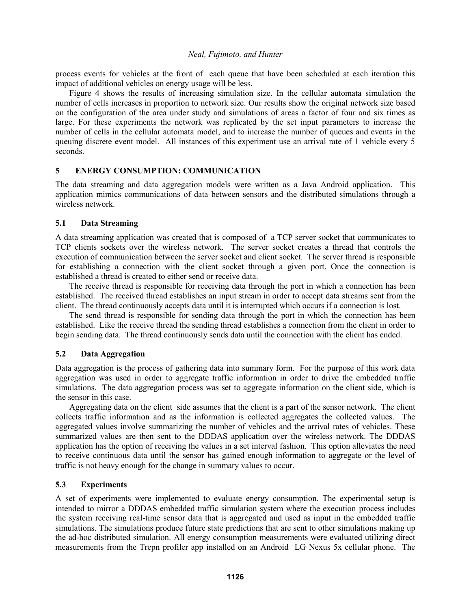process events for vehicles at the front of each queue that have been scheduled at each iteration this impact of additional vehicles on energy usage will be less.

Figure 4 shows the results of increasing simulation size. In the cellular automata simulation the number of cells increases in proportion to network size. Our results show the original network size based on the configuration of the area under study and simulations of areas a factor of four and six times as large. For these experiments the network was replicated by the set input parameters to increase the number of cells in the cellular automata model, and to increase the number of queues and events in the queuing discrete event model. All instances of this experiment use an arrival rate of 1 vehicle every 5 seconds.

# **5 ENERGY CONSUMPTION: COMMUNICATION**

The data streaming and data aggregation models were written as a Java Android application. This application mimics communications of data between sensors and the distributed simulations through a wireless network.

# **5.1 Data Streaming**

A data streaming application was created that is composed of a TCP server socket that communicates to TCP clients sockets over the wireless network. The server socket creates a thread that controls the execution of communication between the server socket and client socket. The server thread is responsible for establishing a connection with the client socket through a given port. Once the connection is established a thread is created to either send or receive data.

The receive thread is responsible for receiving data through the port in which a connection has been established. The received thread establishes an input stream in order to accept data streams sent from the client. The thread continuously accepts data until it is interrupted which occurs if a connection is lost.

The send thread is responsible for sending data through the port in which the connection has been established. Like the receive thread the sending thread establishes a connection from the client in order to begin sending data. The thread continuously sends data until the connection with the client has ended.

# **5.2 Data Aggregation**

Data aggregation is the process of gathering data into summary form. For the purpose of this work data aggregation was used in order to aggregate traffic information in order to drive the embedded traffic simulations. The data aggregation process was set to aggregate information on the client side, which is the sensor in this case.

Aggregating data on the client side assumes that the client is a part of the sensor network. The client collects traffic information and as the information is collected aggregates the collected values. The aggregated values involve summarizing the number of vehicles and the arrival rates of vehicles. These summarized values are then sent to the DDDAS application over the wireless network. The DDDAS application has the option of receiving the values in a set interval fashion. This option alleviates the need to receive continuous data until the sensor has gained enough information to aggregate or the level of traffic is not heavy enough for the change in summary values to occur.

# **5.3 Experiments**

A set of experiments were implemented to evaluate energy consumption. The experimental setup is intended to mirror a DDDAS embedded traffic simulation system where the execution process includes the system receiving real-time sensor data that is aggregated and used as input in the embedded traffic simulations. The simulations produce future state predictions that are sent to other simulations making up the ad-hoc distributed simulation. All energy consumption measurements were evaluated utilizing direct measurements from the Trepn profiler app installed on an Android LG Nexus 5x cellular phone. The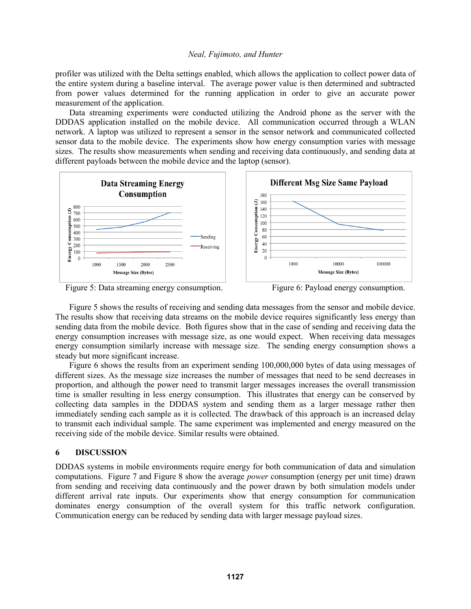profiler was utilized with the Delta settings enabled, which allows the application to collect power data of the entire system during a baseline interval. The average power value is then determined and subtracted from power values determined for the running application in order to give an accurate power measurement of the application.

Data streaming experiments were conducted utilizing the Android phone as the server with the DDDAS application installed on the mobile device. All communication occurred through a WLAN network. A laptop was utilized to represent a sensor in the sensor network and communicated collected sensor data to the mobile device. The experiments show how energy consumption varies with message sizes. The results show measurements when sending and receiving data continuously, and sending data at different payloads between the mobile device and the laptop (sensor).



Figure 5: Data streaming energy consumption. Figure 6: Payload energy consumption.



Figure 5 shows the results of receiving and sending data messages from the sensor and mobile device. The results show that receiving data streams on the mobile device requires significantly less energy than sending data from the mobile device. Both figures show that in the case of sending and receiving data the energy consumption increases with message size, as one would expect. When receiving data messages energy consumption similarly increase with message size. The sending energy consumption shows a steady but more significant increase.

Figure 6 shows the results from an experiment sending 100,000,000 bytes of data using messages of different sizes. As the message size increases the number of messages that need to be send decreases in proportion, and although the power need to transmit larger messages increases the overall transmission time is smaller resulting in less energy consumption. This illustrates that energy can be conserved by collecting data samples in the DDDAS system and sending them as a larger message rather then immediately sending each sample as it is collected. The drawback of this approach is an increased delay to transmit each individual sample. The same experiment was implemented and energy measured on the receiving side of the mobile device. Similar results were obtained.

# **6 DISCUSSION**

DDDAS systems in mobile environments require energy for both communication of data and simulation computations. Figure 7 and Figure 8 show the average *power* consumption (energy per unit time) drawn from sending and receiving data continuously and the power drawn by both simulation models under different arrival rate inputs. Our experiments show that energy consumption for communication dominates energy consumption of the overall system for this traffic network configuration. Communication energy can be reduced by sending data with larger message payload sizes.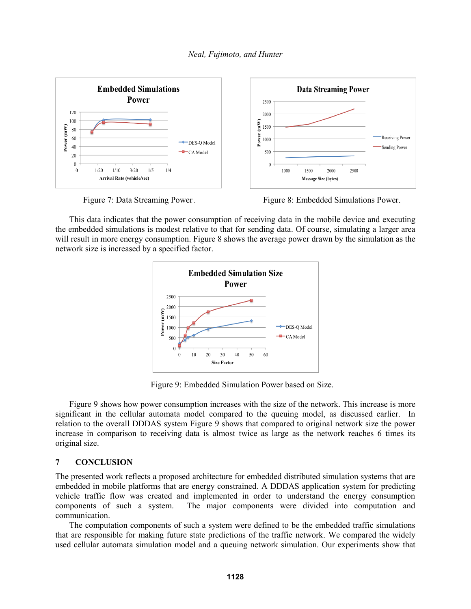

Figure 7: Data Streaming Power. Figure 8: Embedded Simulations Power.

This data indicates that the power consumption of receiving data in the mobile device and executing the embedded simulations is modest relative to that for sending data. Of course, simulating a larger area will result in more energy consumption. Figure 8 shows the average power drawn by the simulation as the network size is increased by a specified factor.



Figure 9: Embedded Simulation Power based on Size.

Figure 9 shows how power consumption increases with the size of the network. This increase is more significant in the cellular automata model compared to the queuing model, as discussed earlier. In relation to the overall DDDAS system Figure 9 shows that compared to original network size the power increase in comparison to receiving data is almost twice as large as the network reaches 6 times its original size.

# **7 CONCLUSION**

The presented work reflects a proposed architecture for embedded distributed simulation systems that are embedded in mobile platforms that are energy constrained. A DDDAS application system for predicting vehicle traffic flow was created and implemented in order to understand the energy consumption components of such a system. The major components were divided into computation and communication.

The computation components of such a system were defined to be the embedded traffic simulations that are responsible for making future state predictions of the traffic network. We compared the widely used cellular automata simulation model and a queuing network simulation. Our experiments show that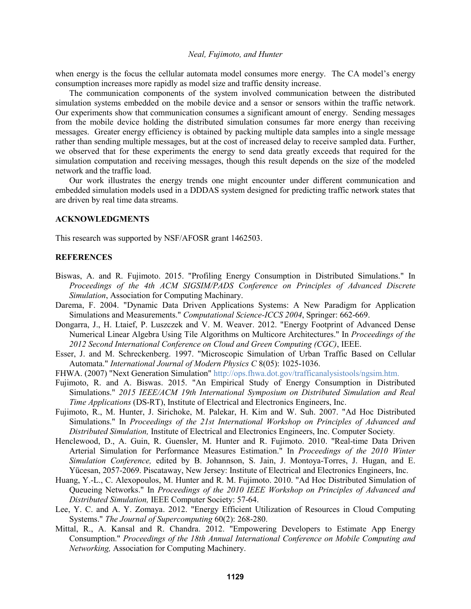when energy is the focus the cellular automata model consumes more energy. The CA model's energy consumption increases more rapidly as model size and traffic density increase.

The communication components of the system involved communication between the distributed simulation systems embedded on the mobile device and a sensor or sensors within the traffic network. Our experiments show that communication consumes a significant amount of energy. Sending messages from the mobile device holding the distributed simulation consumes far more energy than receiving messages. Greater energy efficiency is obtained by packing multiple data samples into a single message rather than sending multiple messages, but at the cost of increased delay to receive sampled data. Further, we observed that for these experiments the energy to send data greatly exceeds that required for the simulation computation and receiving messages, though this result depends on the size of the modeled network and the traffic load.

Our work illustrates the energy trends one might encounter under different communication and embedded simulation models used in a DDDAS system designed for predicting traffic network states that are driven by real time data streams.

#### **ACKNOWLEDGMENTS**

This research was supported by NSF/AFOSR grant 1462503.

#### **REFERENCES**

- Biswas, A. and R. Fujimoto. 2015. "Profiling Energy Consumption in Distributed Simulations." In *Proceedings of the 4th ACM SIGSIM/PADS Conference on Principles of Advanced Discrete Simulation*, Association for Computing Machinary.
- Darema, F. 2004. "Dynamic Data Driven Applications Systems: A New Paradigm for Application Simulations and Measurements." *Computational Science-ICCS 2004*, Springer: 662-669.
- Dongarra, J., H. Ltaief, P. Luszczek and V. M. Weaver. 2012. "Energy Footprint of Advanced Dense Numerical Linear Algebra Using Tile Algorithms on Multicore Architectures." In *Proceedings of the 2012 Second International Conference on Cloud and Green Computing (CGC)*, IEEE.
- Esser, J. and M. Schreckenberg. 1997. "Microscopic Simulation of Urban Traffic Based on Cellular Automata." *International Journal of Modern Physics C* 8(05): 1025-1036.
- FHWA. (2007) "Next Generation Simulation" http://ops.fhwa.dot.gov/trafficanalysistools/ngsim.htm.
- Fujimoto, R. and A. Biswas. 2015. "An Empirical Study of Energy Consumption in Distributed Simulations." *2015 IEEE/ACM 19th International Symposium on Distributed Simulation and Real Time Applications* (DS-RT), Institute of Electrical and Electronics Engineers, Inc.
- Fujimoto, R., M. Hunter, J. Sirichoke, M. Palekar, H. Kim and W. Suh. 2007. "Ad Hoc Distributed Simulations." In *Proceedings of the 21st International Workshop on Principles of Advanced and Distributed Simulation,* Institute of Electrical and Electronics Engineers, Inc. Computer Society*.*
- Henclewood, D., A. Guin, R. Guensler, M. Hunter and R. Fujimoto. 2010. "Real-time Data Driven Arterial Simulation for Performance Measures Estimation." In *Proceedings of the 2010 Winter Simulation Conference,* edited by B. Johannson, S. Jain, J. Montoya-Torres, J. Hugan, and E. Yücesan, 2057-2069. Piscataway, New Jersey: Institute of Electrical and Electronics Engineers, Inc.
- Huang, Y.-L., C. Alexopoulos, M. Hunter and R. M. Fujimoto. 2010. "Ad Hoc Distributed Simulation of Queueing Networks." In *Proceedings of the 2010 IEEE Workshop on Principles of Advanced and Distributed Simulation,* IEEE Computer Society: 57-64.
- Lee, Y. C. and A. Y. Zomaya. 2012. "Energy Efficient Utilization of Resources in Cloud Computing Systems." *The Journal of Supercomputing* 60(2): 268-280.
- Mittal, R., A. Kansal and R. Chandra. 2012. "Empowering Developers to Estimate App Energy Consumption." *Proceedings of the 18th Annual International Conference on Mobile Computing and Networking,* Association for Computing Machinery.